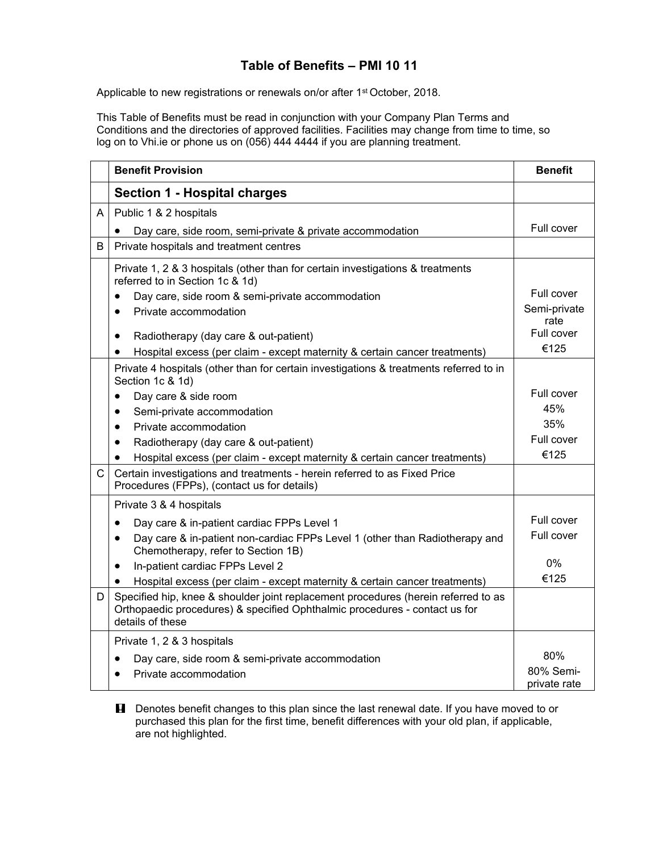## **Table of Benefits – PMI 10 11**

Applicable to new registrations or renewals on/or after 1<sup>st</sup> October, 2018.

This Table of Benefits must be read in conjunction with your Company Plan Terms and Conditions and the directories of approved facilities. Facilities may change from time to time, so log on to Vhi.ie or phone us on (056) 444 4444 if you are planning treatment.

|              | <b>Benefit Provision</b>                                                                                                                                                             | <b>Benefit</b>             |
|--------------|--------------------------------------------------------------------------------------------------------------------------------------------------------------------------------------|----------------------------|
|              | <b>Section 1 - Hospital charges</b>                                                                                                                                                  |                            |
| A            | Public 1 & 2 hospitals                                                                                                                                                               |                            |
|              | Day care, side room, semi-private & private accommodation                                                                                                                            | Full cover                 |
| B            | Private hospitals and treatment centres                                                                                                                                              |                            |
|              | Private 1, 2 & 3 hospitals (other than for certain investigations & treatments<br>referred to in Section 1c & 1d)<br>Day care, side room & semi-private accommodation                | Full cover                 |
|              | Private accommodation<br>$\bullet$                                                                                                                                                   | Semi-private               |
|              | Radiotherapy (day care & out-patient)<br>$\bullet$<br>Hospital excess (per claim - except maternity & certain cancer treatments)<br>$\bullet$                                        | rate<br>Full cover<br>€125 |
|              | Private 4 hospitals (other than for certain investigations & treatments referred to in<br>Section 1c & 1d)                                                                           |                            |
|              | Day care & side room<br>$\bullet$                                                                                                                                                    | Full cover                 |
|              | Semi-private accommodation<br>$\bullet$                                                                                                                                              | 45%                        |
|              | Private accommodation<br>$\bullet$                                                                                                                                                   | 35%                        |
|              | Radiotherapy (day care & out-patient)<br>$\bullet$                                                                                                                                   | Full cover                 |
|              | Hospital excess (per claim - except maternity & certain cancer treatments)                                                                                                           | €125                       |
| $\mathsf{C}$ | Certain investigations and treatments - herein referred to as Fixed Price<br>Procedures (FPPs), (contact us for details)                                                             |                            |
|              | Private 3 & 4 hospitals                                                                                                                                                              |                            |
|              | Day care & in-patient cardiac FPPs Level 1<br>$\bullet$                                                                                                                              | Full cover                 |
|              | Day care & in-patient non-cardiac FPPs Level 1 (other than Radiotherapy and<br>$\bullet$<br>Chemotherapy, refer to Section 1B)                                                       | Full cover                 |
|              | In-patient cardiac FPPs Level 2<br>٠                                                                                                                                                 | 0%                         |
|              | Hospital excess (per claim - except maternity & certain cancer treatments)                                                                                                           | €125                       |
| D            | Specified hip, knee & shoulder joint replacement procedures (herein referred to as<br>Orthopaedic procedures) & specified Ophthalmic procedures - contact us for<br>details of these |                            |
|              | Private 1, 2 & 3 hospitals                                                                                                                                                           |                            |
|              | Day care, side room & semi-private accommodation                                                                                                                                     | 80%                        |
|              | Private accommodation                                                                                                                                                                | 80% Semi-<br>private rate  |

**H** Denotes benefit changes to this plan since the last renewal date. If you have moved to or purchased this plan for the first time, benefit differences with your old plan, if applicable, are not highlighted.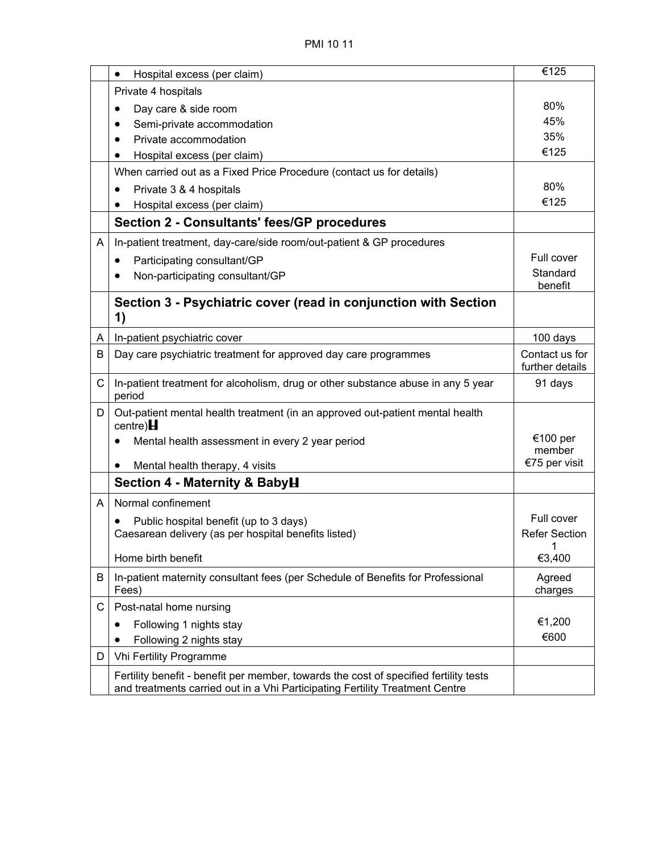|   | Hospital excess (per claim)<br>$\bullet$                                                                                                                              | €125                 |
|---|-----------------------------------------------------------------------------------------------------------------------------------------------------------------------|----------------------|
|   | Private 4 hospitals                                                                                                                                                   |                      |
|   | Day care & side room                                                                                                                                                  | 80%                  |
|   | Semi-private accommodation                                                                                                                                            | 45%                  |
|   | Private accommodation                                                                                                                                                 | 35%                  |
|   | Hospital excess (per claim)                                                                                                                                           | €125                 |
|   | When carried out as a Fixed Price Procedure (contact us for details)                                                                                                  |                      |
|   | Private 3 & 4 hospitals<br>$\bullet$                                                                                                                                  | 80%                  |
|   | Hospital excess (per claim)                                                                                                                                           | €125                 |
|   | <b>Section 2 - Consultants' fees/GP procedures</b>                                                                                                                    |                      |
| A | In-patient treatment, day-care/side room/out-patient & GP procedures                                                                                                  |                      |
|   | Participating consultant/GP<br>$\bullet$                                                                                                                              | Full cover           |
|   | Non-participating consultant/GP                                                                                                                                       | Standard             |
|   |                                                                                                                                                                       | benefit              |
|   | Section 3 - Psychiatric cover (read in conjunction with Section<br>1)                                                                                                 |                      |
| A | In-patient psychiatric cover                                                                                                                                          | 100 days             |
| В | Day care psychiatric treatment for approved day care programmes                                                                                                       | Contact us for       |
|   |                                                                                                                                                                       | further details      |
| C | In-patient treatment for alcoholism, drug or other substance abuse in any 5 year<br>period                                                                            | 91 days              |
| D | Out-patient mental health treatment (in an approved out-patient mental health<br>$centre$ ) $H$                                                                       |                      |
|   | Mental health assessment in every 2 year period                                                                                                                       | €100 per<br>member   |
|   | Mental health therapy, 4 visits<br>$\bullet$                                                                                                                          | €75 per visit        |
|   | Section 4 - Maternity & BabyH                                                                                                                                         |                      |
| A | Normal confinement                                                                                                                                                    |                      |
|   | Public hospital benefit (up to 3 days)                                                                                                                                | Full cover           |
|   | Caesarean delivery (as per hospital benefits listed)                                                                                                                  | <b>Refer Section</b> |
|   | Home birth benefit                                                                                                                                                    | €3,400               |
| B | In-patient maternity consultant fees (per Schedule of Benefits for Professional<br>Fees)                                                                              | Agreed<br>charges    |
| С | Post-natal home nursing                                                                                                                                               |                      |
|   | Following 1 nights stay                                                                                                                                               | €1,200               |
|   | Following 2 nights stay                                                                                                                                               | €600                 |
| D | Vhi Fertility Programme                                                                                                                                               |                      |
|   | Fertility benefit - benefit per member, towards the cost of specified fertility tests<br>and treatments carried out in a Vhi Participating Fertility Treatment Centre |                      |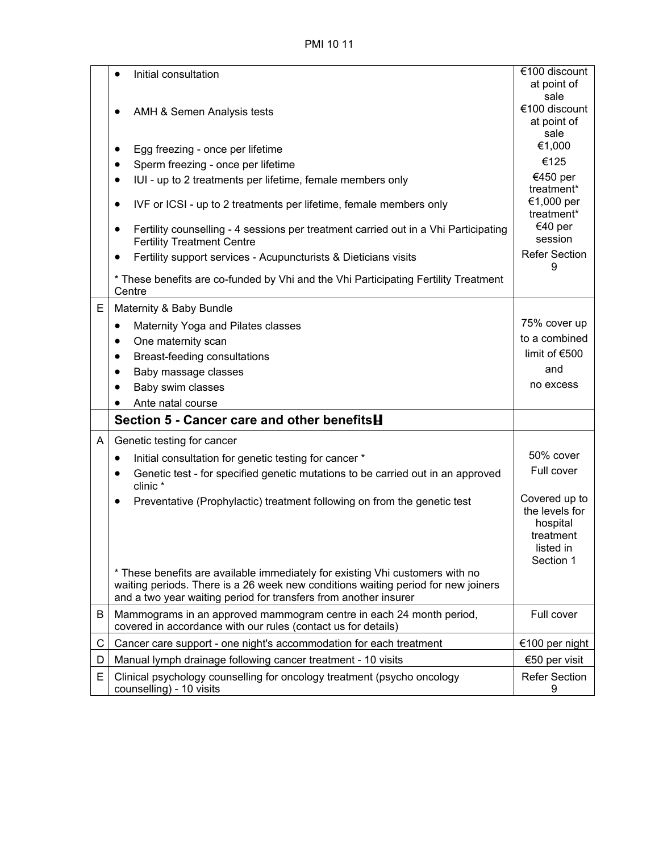PMI 10 11

|   | Initial consultation<br>$\bullet$                                                                                                                                                                                                      | €100 discount                                                                      |
|---|----------------------------------------------------------------------------------------------------------------------------------------------------------------------------------------------------------------------------------------|------------------------------------------------------------------------------------|
|   |                                                                                                                                                                                                                                        | at point of<br>sale                                                                |
|   | AMH & Semen Analysis tests                                                                                                                                                                                                             | €100 discount                                                                      |
|   |                                                                                                                                                                                                                                        | at point of<br>sale                                                                |
|   | Egg freezing - once per lifetime<br>$\bullet$                                                                                                                                                                                          | €1,000                                                                             |
|   | Sperm freezing - once per lifetime<br>٠                                                                                                                                                                                                | €125                                                                               |
|   | IUI - up to 2 treatments per lifetime, female members only<br>$\bullet$                                                                                                                                                                | €450 per<br>treatment*                                                             |
|   | IVF or ICSI - up to 2 treatments per lifetime, female members only<br>٠                                                                                                                                                                | €1,000 per<br>treatment*                                                           |
|   | Fertility counselling - 4 sessions per treatment carried out in a Vhi Participating<br>٠<br><b>Fertility Treatment Centre</b>                                                                                                          | €40 per<br>session                                                                 |
|   | Fertility support services - Acupuncturists & Dieticians visits<br>$\bullet$                                                                                                                                                           | <b>Refer Section</b><br>9                                                          |
|   | * These benefits are co-funded by Vhi and the Vhi Participating Fertility Treatment<br>Centre                                                                                                                                          |                                                                                    |
| E | Maternity & Baby Bundle                                                                                                                                                                                                                |                                                                                    |
|   | Maternity Yoga and Pilates classes<br>$\bullet$                                                                                                                                                                                        | 75% cover up                                                                       |
|   | One maternity scan<br>$\bullet$                                                                                                                                                                                                        | to a combined                                                                      |
|   | Breast-feeding consultations<br>$\bullet$                                                                                                                                                                                              | limit of €500                                                                      |
|   | Baby massage classes<br>$\bullet$                                                                                                                                                                                                      | and                                                                                |
|   | Baby swim classes<br>$\bullet$                                                                                                                                                                                                         | no excess                                                                          |
|   | Ante natal course                                                                                                                                                                                                                      |                                                                                    |
|   | Section 5 - Cancer care and other benefitsH                                                                                                                                                                                            |                                                                                    |
| A | Genetic testing for cancer                                                                                                                                                                                                             |                                                                                    |
|   | Initial consultation for genetic testing for cancer *<br>$\bullet$                                                                                                                                                                     | 50% cover                                                                          |
|   | Genetic test - for specified genetic mutations to be carried out in an approved<br>$\bullet$<br>clinic *                                                                                                                               | Full cover                                                                         |
|   | Preventative (Prophylactic) treatment following on from the genetic test                                                                                                                                                               | Covered up to<br>the levels for<br>hospital<br>treatment<br>listed in<br>Section 1 |
|   | * These benefits are available immediately for existing Vhi customers with no<br>waiting periods. There is a 26 week new conditions waiting period for new joiners<br>and a two year waiting period for transfers from another insurer |                                                                                    |
| B | Mammograms in an approved mammogram centre in each 24 month period,<br>covered in accordance with our rules (contact us for details)                                                                                                   | Full cover                                                                         |
| C | Cancer care support - one night's accommodation for each treatment                                                                                                                                                                     | €100 per night                                                                     |
| D | Manual lymph drainage following cancer treatment - 10 visits                                                                                                                                                                           | €50 per visit                                                                      |
| E | Clinical psychology counselling for oncology treatment (psycho oncology<br>counselling) - 10 visits                                                                                                                                    | <b>Refer Section</b><br>9                                                          |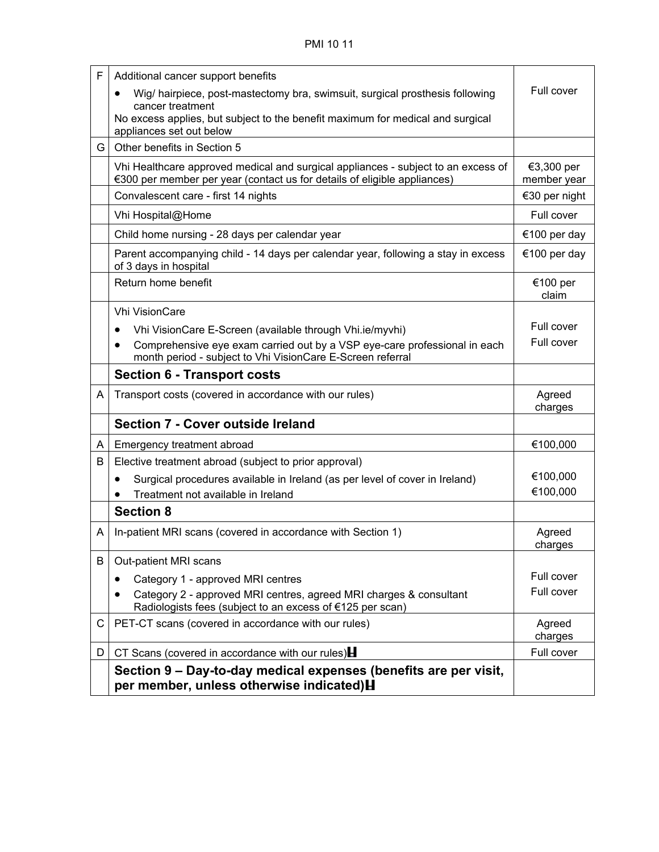| F  | Additional cancer support benefits                                                                                                                            |                           |
|----|---------------------------------------------------------------------------------------------------------------------------------------------------------------|---------------------------|
|    | Wig/ hairpiece, post-mastectomy bra, swimsuit, surgical prosthesis following                                                                                  | Full cover                |
|    | cancer treatment<br>No excess applies, but subject to the benefit maximum for medical and surgical<br>appliances set out below                                |                           |
| G. | Other benefits in Section 5                                                                                                                                   |                           |
|    | Vhi Healthcare approved medical and surgical appliances - subject to an excess of<br>€300 per member per year (contact us for details of eligible appliances) | €3,300 per<br>member year |
|    | Convalescent care - first 14 nights                                                                                                                           | €30 per night             |
|    | Vhi Hospital@Home                                                                                                                                             | Full cover                |
|    | Child home nursing - 28 days per calendar year                                                                                                                | €100 per day              |
|    | Parent accompanying child - 14 days per calendar year, following a stay in excess<br>of 3 days in hospital                                                    | €100 per day              |
|    | Return home benefit                                                                                                                                           | €100 per<br>claim         |
|    | <b>Vhi VisionCare</b>                                                                                                                                         |                           |
|    | Vhi VisionCare E-Screen (available through Vhi.ie/myvhi)<br>٠                                                                                                 | Full cover                |
|    | Comprehensive eye exam carried out by a VSP eye-care professional in each<br>$\bullet$<br>month period - subject to Vhi VisionCare E-Screen referral          | Full cover                |
|    | <b>Section 6 - Transport costs</b>                                                                                                                            |                           |
| A  | Transport costs (covered in accordance with our rules)                                                                                                        | Agreed<br>charges         |
|    | Section 7 - Cover outside Ireland                                                                                                                             |                           |
| A  | Emergency treatment abroad                                                                                                                                    | €100,000                  |
| B  | Elective treatment abroad (subject to prior approval)                                                                                                         |                           |
|    | Surgical procedures available in Ireland (as per level of cover in Ireland)<br>٠                                                                              | €100,000                  |
|    | Treatment not available in Ireland                                                                                                                            | €100,000                  |
|    | <b>Section 8</b>                                                                                                                                              |                           |
| A  | In-patient MRI scans (covered in accordance with Section 1)                                                                                                   | Agreed<br>charges         |
| B  | Out-patient MRI scans                                                                                                                                         |                           |
|    | Category 1 - approved MRI centres                                                                                                                             | Full cover                |
|    | Category 2 - approved MRI centres, agreed MRI charges & consultant<br>Radiologists fees (subject to an excess of €125 per scan)                               | Full cover                |
| C  | PET-CT scans (covered in accordance with our rules)                                                                                                           | Agreed<br>charges         |
| D  | CT Scans (covered in accordance with our rules) $\mathbf H$                                                                                                   | Full cover                |
|    | Section 9 – Day-to-day medical expenses (benefits are per visit,<br>per member, unless otherwise indicated) H                                                 |                           |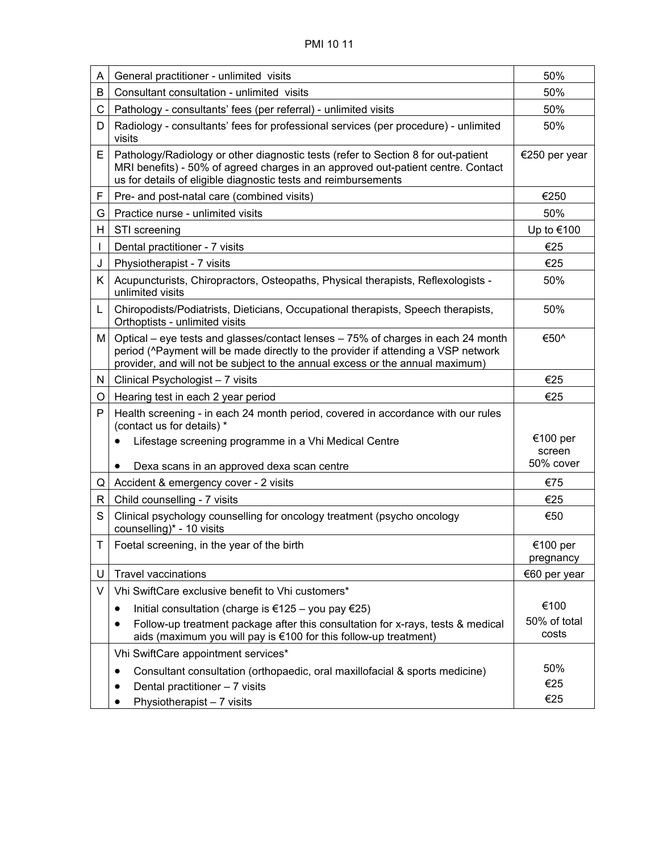| A  | General practitioner - unlimited visits                                                                                                                                                                                                                | 50%                             |
|----|--------------------------------------------------------------------------------------------------------------------------------------------------------------------------------------------------------------------------------------------------------|---------------------------------|
| B  | Consultant consultation - unlimited visits                                                                                                                                                                                                             | 50%                             |
| C  | Pathology - consultants' fees (per referral) - unlimited visits                                                                                                                                                                                        | 50%                             |
| D  | Radiology - consultants' fees for professional services (per procedure) - unlimited<br>visits                                                                                                                                                          | 50%                             |
| E. | Pathology/Radiology or other diagnostic tests (refer to Section 8 for out-patient<br>MRI benefits) - 50% of agreed charges in an approved out-patient centre. Contact<br>us for details of eligible diagnostic tests and reimbursements                | €250 per year                   |
| F  | Pre- and post-natal care (combined visits)                                                                                                                                                                                                             | €250                            |
| G  | Practice nurse - unlimited visits                                                                                                                                                                                                                      | 50%                             |
| H  | STI screening                                                                                                                                                                                                                                          | Up to €100                      |
|    | Dental practitioner - 7 visits                                                                                                                                                                                                                         | €25                             |
| J  | Physiotherapist - 7 visits                                                                                                                                                                                                                             | €25                             |
| Κ  | Acupuncturists, Chiropractors, Osteopaths, Physical therapists, Reflexologists -<br>unlimited visits                                                                                                                                                   | 50%                             |
| L  | Chiropodists/Podiatrists, Dieticians, Occupational therapists, Speech therapists,<br>Orthoptists - unlimited visits                                                                                                                                    | 50%                             |
| М  | Optical – eye tests and glasses/contact lenses – 75% of charges in each 24 month<br>period (^Payment will be made directly to the provider if attending a VSP network<br>provider, and will not be subject to the annual excess or the annual maximum) | €50^                            |
| N. | Clinical Psychologist - 7 visits                                                                                                                                                                                                                       | €25                             |
| O  | Hearing test in each 2 year period                                                                                                                                                                                                                     | €25                             |
| P  | Health screening - in each 24 month period, covered in accordance with our rules<br>(contact us for details) *                                                                                                                                         |                                 |
|    | Lifestage screening programme in a Vhi Medical Centre<br>Dexa scans in an approved dexa scan centre                                                                                                                                                    | €100 per<br>screen<br>50% cover |
| Q  | Accident & emergency cover - 2 visits                                                                                                                                                                                                                  | €75                             |
| R  | Child counselling - 7 visits                                                                                                                                                                                                                           | €25                             |
| S  | Clinical psychology counselling for oncology treatment (psycho oncology<br>counselling)* - 10 visits                                                                                                                                                   | €50                             |
| T. | Foetal screening, in the year of the birth                                                                                                                                                                                                             | €100 per<br>pregnancy           |
| U  | <b>Travel vaccinations</b>                                                                                                                                                                                                                             | €60 per year                    |
| V  | Vhi SwiftCare exclusive benefit to Vhi customers*                                                                                                                                                                                                      |                                 |
|    | Initial consultation (charge is €125 - you pay €25)<br>٠                                                                                                                                                                                               | €100                            |
|    | Follow-up treatment package after this consultation for x-rays, tests & medical<br>aids (maximum you will pay is €100 for this follow-up treatment)                                                                                                    | 50% of total<br>costs           |
|    | Vhi SwiftCare appointment services*                                                                                                                                                                                                                    |                                 |
|    | Consultant consultation (orthopaedic, oral maxillofacial & sports medicine)<br>٠<br>Dental practitioner - 7 visits                                                                                                                                     | 50%<br>€25<br>€25               |
|    | Physiotherapist - 7 visits                                                                                                                                                                                                                             |                                 |